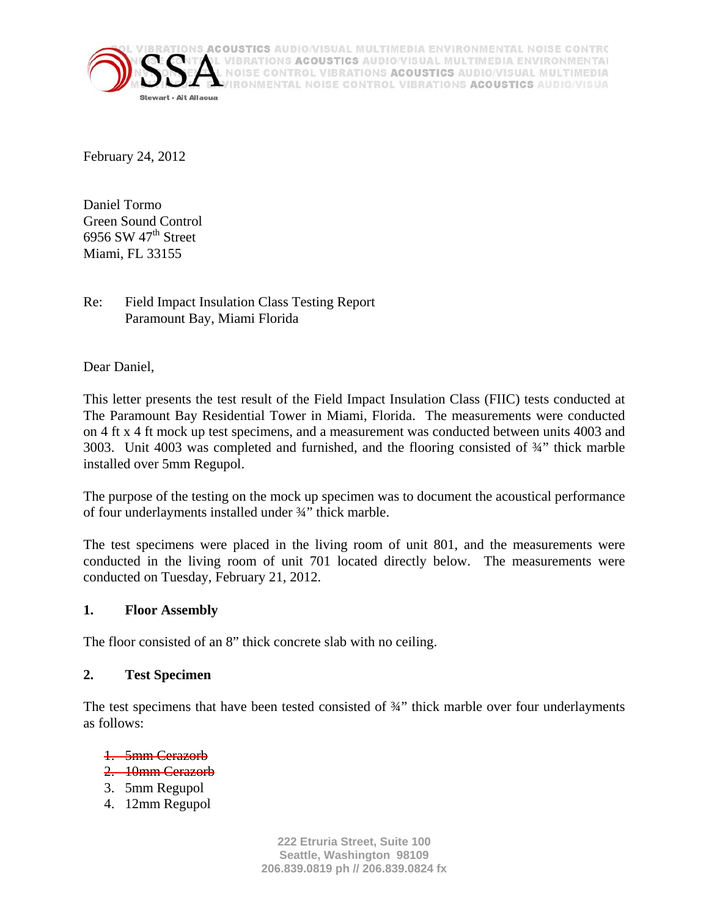

ONS ACOUSTICS AUDIO/VISUAL MULTIMEDIA ENVIRONMENTAL NOISE CONTRO VIBRATIONS ACOUSTICS AUDIO/VISUAL MULTIMEDIA ENVIRONMENTAL NOISE CONTROL VIBRATIONS ACOUSTICS AUDIO/VISUAL MULTIMEDIA TAL NOISE CONTROL VIBRATIONS ACOUSTICS AUDIO/VISUA

February 24, 2012

Daniel Tormo Green Sound Control 6956 SW  $47<sup>th</sup>$  Street Miami, FL 33155

### Re: Field Impact Insulation Class Testing Report Paramount Bay, Miami Florida

Dear Daniel,

This letter presents the test result of the Field Impact Insulation Class (FIIC) tests conducted at The Paramount Bay Residential Tower in Miami, Florida. The measurements were conducted on 4 ft x 4 ft mock up test specimens, and a measurement was conducted between units 4003 and 3003. Unit 4003 was completed and furnished, and the flooring consisted of ¾" thick marble installed over 5mm Regupol.

The purpose of the testing on the mock up specimen was to document the acoustical performance of four underlayments installed under ¾" thick marble.

The test specimens were placed in the living room of unit 801, and the measurements were conducted in the living room of unit 701 located directly below. The measurements were conducted on Tuesday, February 21, 2012.

#### **1. Floor Assembly**

The floor consisted of an 8" thick concrete slab with no ceiling.

#### **2. Test Specimen**

The test specimens that have been tested consisted of 34" thick marble over four underlayments as follows:

1. 5mm Cerazorb 2. 10mm Cerazorb

- 3. 5mm Regupol
- 4. 12mm Regupol

**222 Etruria Street, Suite 100 Seattle, Washington 98109 206.839.0819 ph // 206.839.0824 fx**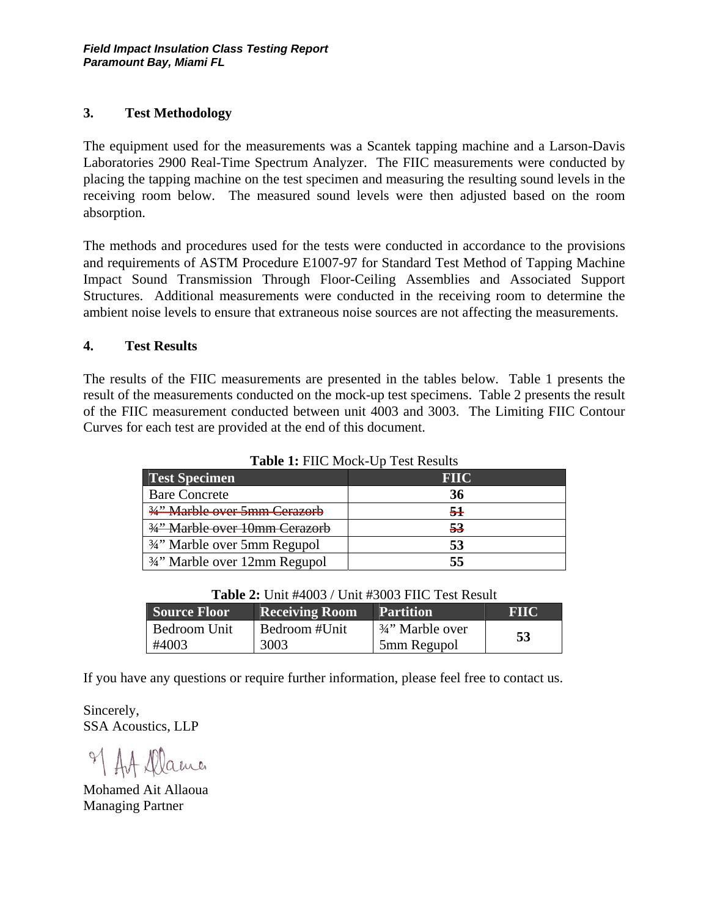### **3. Test Methodology**

The equipment used for the measurements was a Scantek tapping machine and a Larson-Davis Laboratories 2900 Real-Time Spectrum Analyzer. The FIIC measurements were conducted by placing the tapping machine on the test specimen and measuring the resulting sound levels in the receiving room below. The measured sound levels were then adjusted based on the room absorption.

The methods and procedures used for the tests were conducted in accordance to the provisions and requirements of ASTM Procedure E1007-97 for Standard Test Method of Tapping Machine Impact Sound Transmission Through Floor-Ceiling Assemblies and Associated Support Structures. Additional measurements were conducted in the receiving room to determine the ambient noise levels to ensure that extraneous noise sources are not affecting the measurements.

### **4. Test Results**

The results of the FIIC measurements are presented in the tables below. Table 1 presents the result of the measurements conducted on the mock-up test specimens. Table 2 presents the result of the FIIC measurement conducted between unit 4003 and 3003. The Limiting FIIC Contour Curves for each test are provided at the end of this document.

| <b>Test Specimen</b>                     | <b>FIIC</b> |
|------------------------------------------|-------------|
| <b>Bare Concrete</b>                     | 36          |
| <sup>3/4"</sup> Marble over 5mm Cerazorb | 51          |
| <sup>34"</sup> Marble over 10mm Cerazorb | 53          |
| $\frac{3}{4}$ " Marble over 5mm Regupol  |             |
| $\frac{3}{4}$ " Marble over 12mm Regupol |             |

**Table 1:** FIIC Mock-Up Test Results

| <b>TAUR 4.</b> UML $\pi$ UUS / UML $\pi$ SUUS I HU TUSLINSUIL |                       |                             |             |
|---------------------------------------------------------------|-----------------------|-----------------------------|-------------|
| <b>Source Floor</b>                                           | <b>Receiving Room</b> | <b>Partition</b>            | <b>FIIC</b> |
| Bedroom Unit                                                  | Bedroom #Unit         | $\frac{3}{4}$ . Marble over | 53          |
| #4003                                                         | 3003                  | 5mm Regupol                 |             |

**Table 2:** Unit #4003 / Unit #3003 FIIC Test Result

If you have any questions or require further information, please feel free to contact us.

Sincerely, SSA Acoustics, LLP

AA Dame

Mohamed Ait Allaoua Managing Partner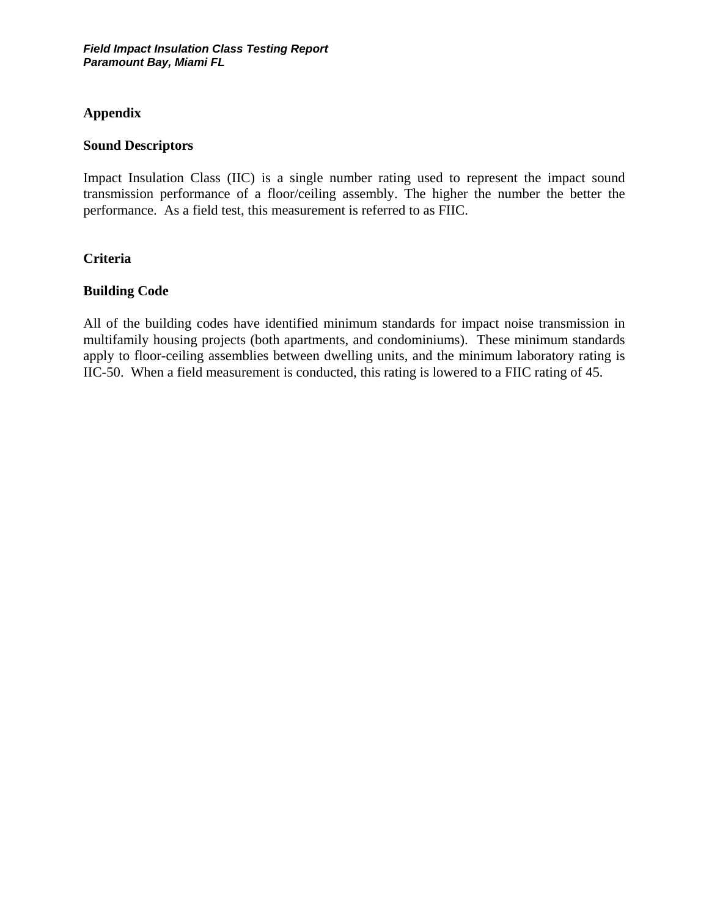### **Appendix**

### **Sound Descriptors**

Impact Insulation Class (IIC) is a single number rating used to represent the impact sound transmission performance of a floor/ceiling assembly. The higher the number the better the performance. As a field test, this measurement is referred to as FIIC.

### **Criteria**

#### **Building Code**

All of the building codes have identified minimum standards for impact noise transmission in multifamily housing projects (both apartments, and condominiums). These minimum standards apply to floor-ceiling assemblies between dwelling units, and the minimum laboratory rating is IIC-50. When a field measurement is conducted, this rating is lowered to a FIIC rating of 45.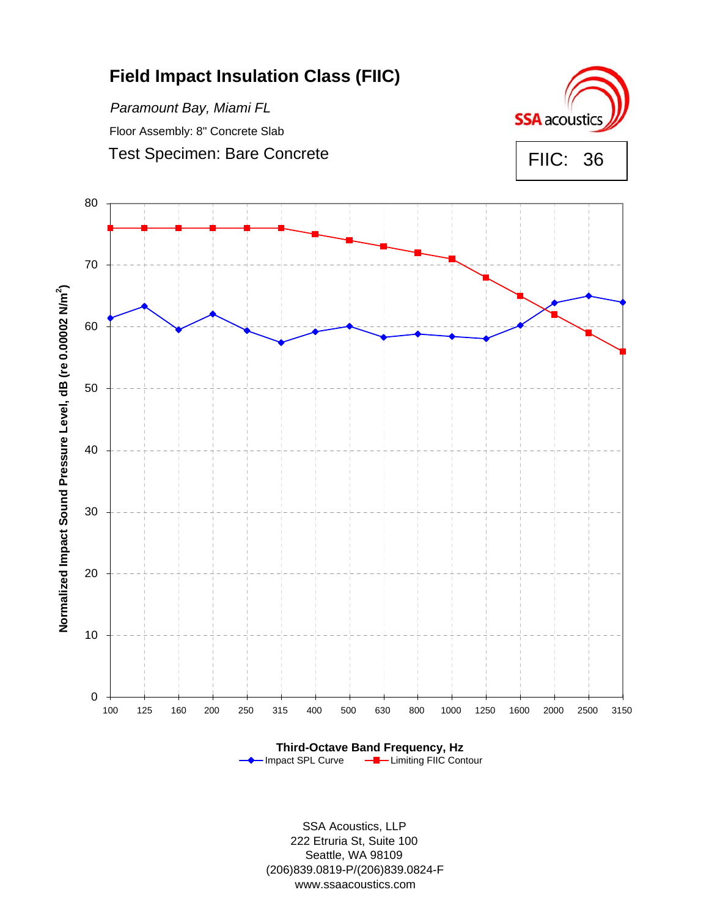Floor Assembly: 8" Concrete Slab Test Specimen: Bare Concrete *Paramount Bay, Miami FL*





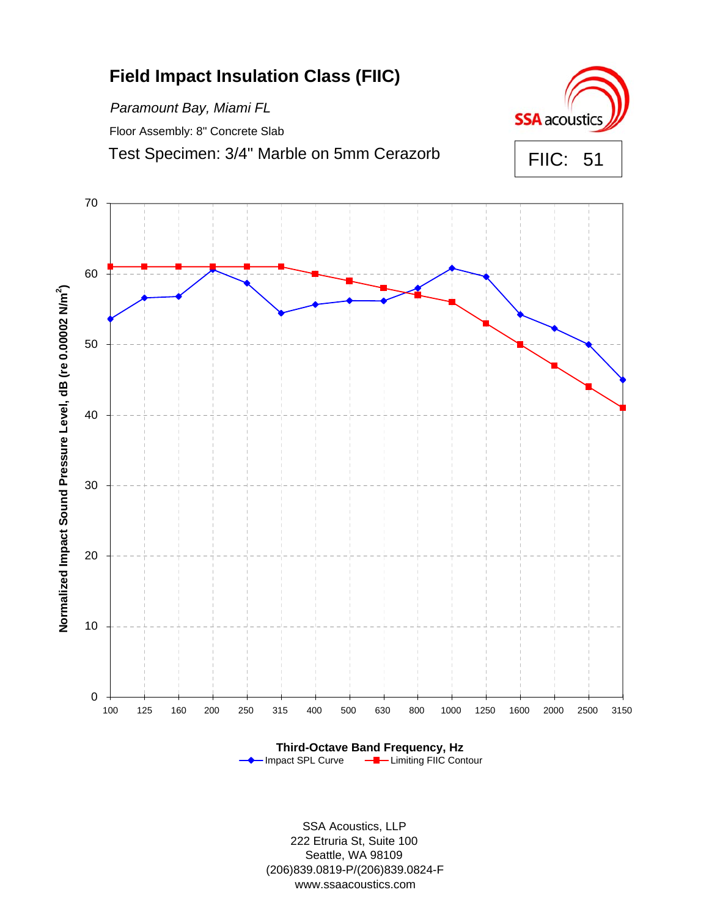*Paramount Bay, Miami FL*

Floor Assembly: 8" Concrete Slab

Test Specimen: 3/4" Marble on 5mm Cerazorb





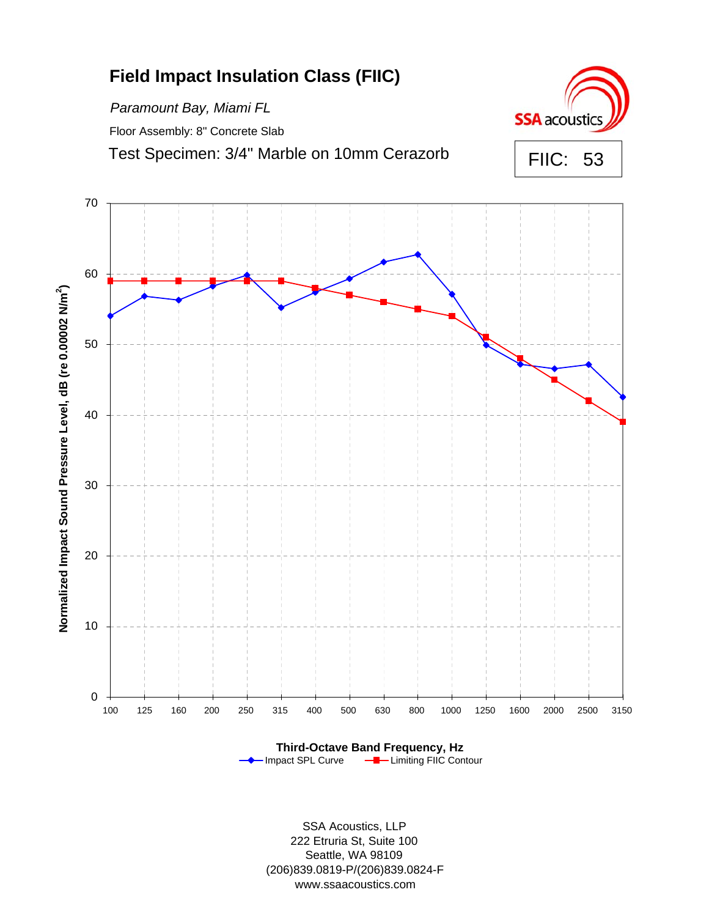*Paramount Bay, Miami FL*

Floor Assembly: 8" Concrete Slab

Test Specimen: 3/4" Marble on 10mm Cerazorb





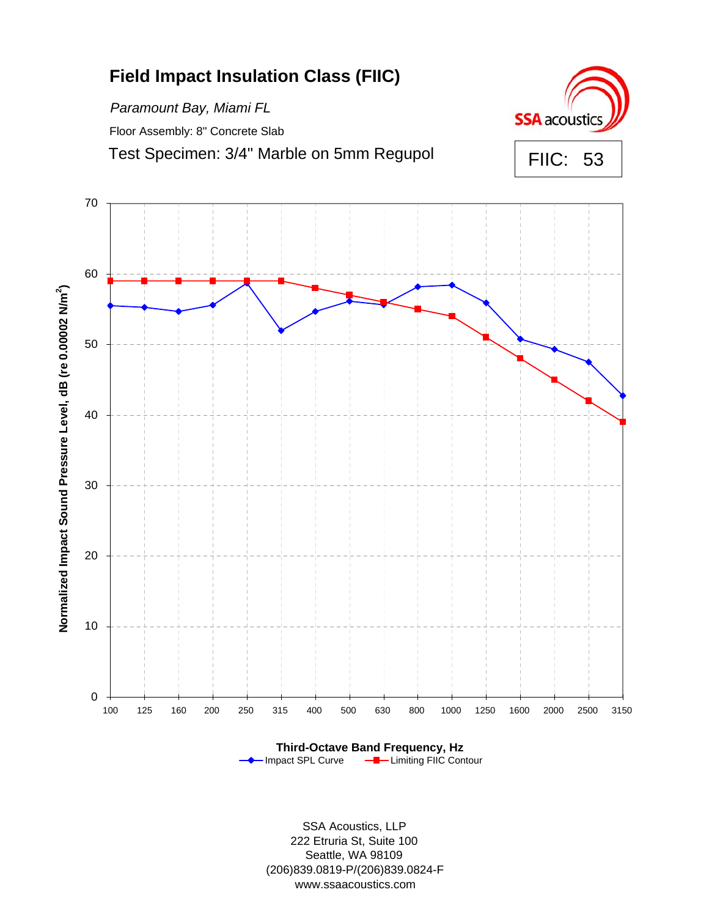*Paramount Bay, Miami FL*

Floor Assembly: 8" Concrete Slab

Test Specimen: 3/4" Marble on 5mm Regupol





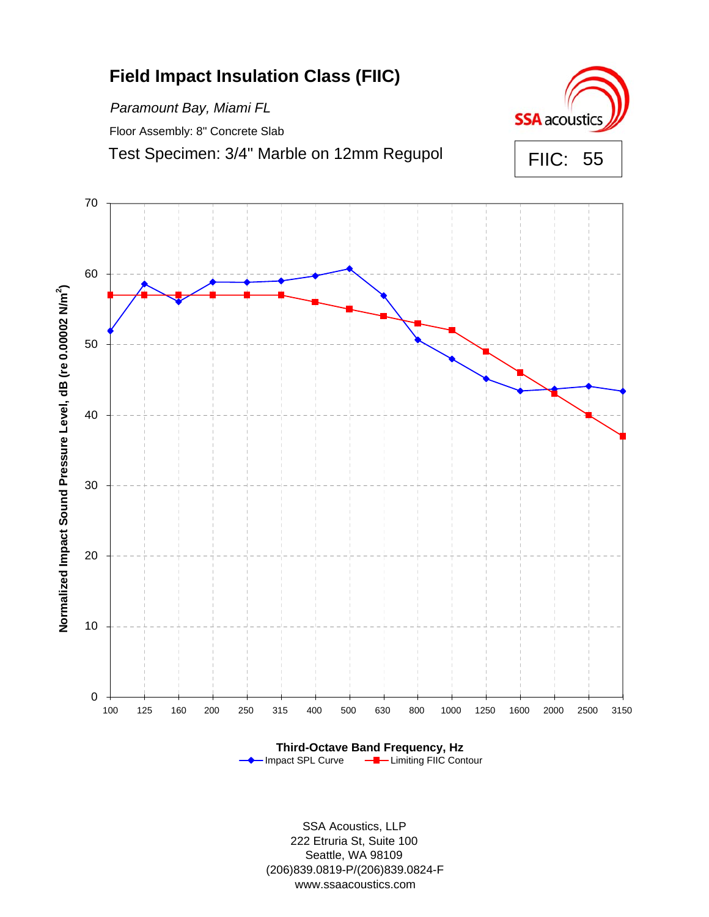*Paramount Bay, Miami FL*

Floor Assembly: 8" Concrete Slab

Test Specimen: 3/4" Marble on 12mm Regupol